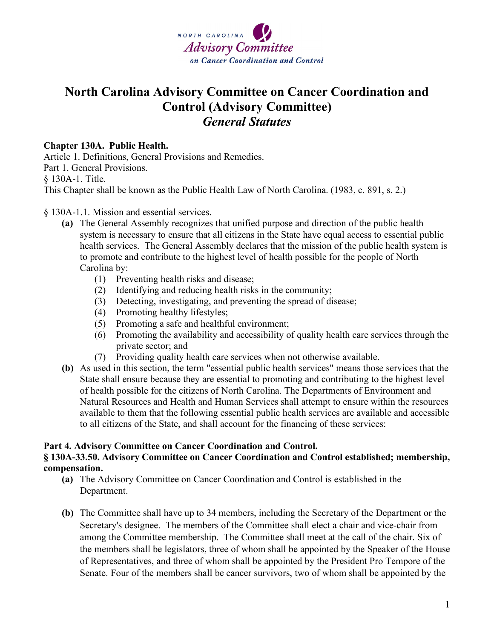

# **North Carolina Advisory Committee on Cancer Coordination and Control (Advisory Committee)** *General Statutes*

### **Chapter 130A. Public Health.**

Article 1. Definitions, General Provisions and Remedies. Part 1. General Provisions. § 130A-1. Title. This Chapter shall be known as the Public Health Law of North Carolina. (1983, c. 891, s. 2.)

### § 130A-1.1. Mission and essential services.

- **(a)** The General Assembly recognizes that unified purpose and direction of the public health system is necessary to ensure that all citizens in the State have equal access to essential public health services. The General Assembly declares that the mission of the public health system is to promote and contribute to the highest level of health possible for the people of North Carolina by:
	- (1) Preventing health risks and disease;
	- (2) Identifying and reducing health risks in the community;
	- (3) Detecting, investigating, and preventing the spread of disease;
	- (4) Promoting healthy lifestyles;
	- (5) Promoting a safe and healthful environment;
	- (6) Promoting the availability and accessibility of quality health care services through the private sector; and
	- (7) Providing quality health care services when not otherwise available.
- **(b)** As used in this section, the term "essential public health services" means those services that the State shall ensure because they are essential to promoting and contributing to the highest level of health possible for the citizens of North Carolina. The Departments of Environment and Natural Resources and Health and Human Services shall attempt to ensure within the resources available to them that the following essential public health services are available and accessible to all citizens of the State, and shall account for the financing of these services:

#### **Part 4. Advisory Committee on Cancer Coordination and Control. § 130A-33.50. Advisory Committee on Cancer Coordination and Control established; membership, compensation.**

- **(a)** The Advisory Committee on Cancer Coordination and Control is established in the Department.
- **(b)** The Committee shall have up to 34 members, including the Secretary of the Department or the Secretary's designee. The members of the Committee shall elect a chair and vice-chair from among the Committee membership. The Committee shall meet at the call of the chair. Six of the members shall be legislators, three of whom shall be appointed by the Speaker of the House of Representatives, and three of whom shall be appointed by the President Pro Tempore of the Senate. Four of the members shall be cancer survivors, two of whom shall be appointed by the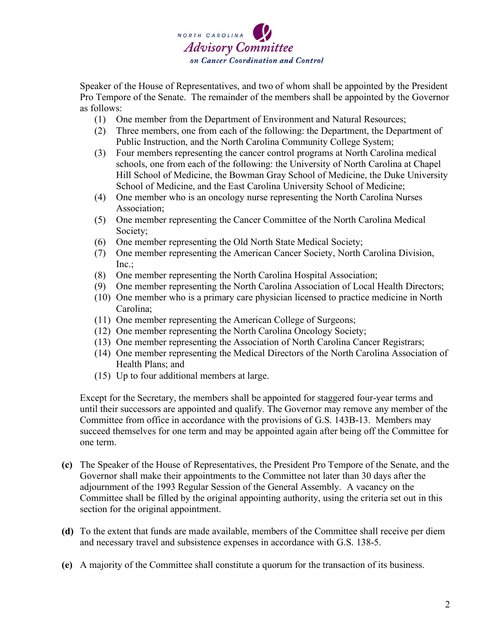

Speaker of the House of Representatives, and two of whom shall be appointed by the President Pro Tempore of the Senate. The remainder of the members shall be appointed by the Governor as follows:

- (1) One member from the Department of Environment and Natural Resources;
- (2) Three members, one from each of the following: the Department, the Department of Public Instruction, and the North Carolina Community College System;
- (3) Four members representing the cancer control programs at North Carolina medical schools, one from each of the following: the University of North Carolina at Chapel Hill School of Medicine, the Bowman Gray School of Medicine, the Duke University School of Medicine, and the East Carolina University School of Medicine;
- (4) One member who is an oncology nurse representing the North Carolina Nurses Association;
- (5) One member representing the Cancer Committee of the North Carolina Medical Society;
- (6) One member representing the Old North State Medical Society;
- (7) One member representing the American Cancer Society, North Carolina Division, Inc.;
- (8) One member representing the North Carolina Hospital Association;
- (9) One member representing the North Carolina Association of Local Health Directors;
- (10) One member who is a primary care physician licensed to practice medicine in North Carolina;
- (11) One member representing the American College of Surgeons;
- (12) One member representing the North Carolina Oncology Society;
- (13) One member representing the Association of North Carolina Cancer Registrars;
- (14) One member representing the Medical Directors of the North Carolina Association of Health Plans; and
- (15) Up to four additional members at large.

Except for the Secretary, the members shall be appointed for staggered four-year terms and until their successors are appointed and qualify. The Governor may remove any member of the Committee from office in accordance with the provisions of G.S. 143B-13. Members may succeed themselves for one term and may be appointed again after being off the Committee for one term.

- **(c)** The Speaker of the House of Representatives, the President Pro Tempore of the Senate, and the Governor shall make their appointments to the Committee not later than 30 days after the adjournment of the 1993 Regular Session of the General Assembly. A vacancy on the Committee shall be filled by the original appointing authority, using the criteria set out in this section for the original appointment.
- **(d)** To the extent that funds are made available, members of the Committee shall receive per diem and necessary travel and subsistence expenses in accordance with G.S. 138-5.
- **(e)** A majority of the Committee shall constitute a quorum for the transaction of its business.